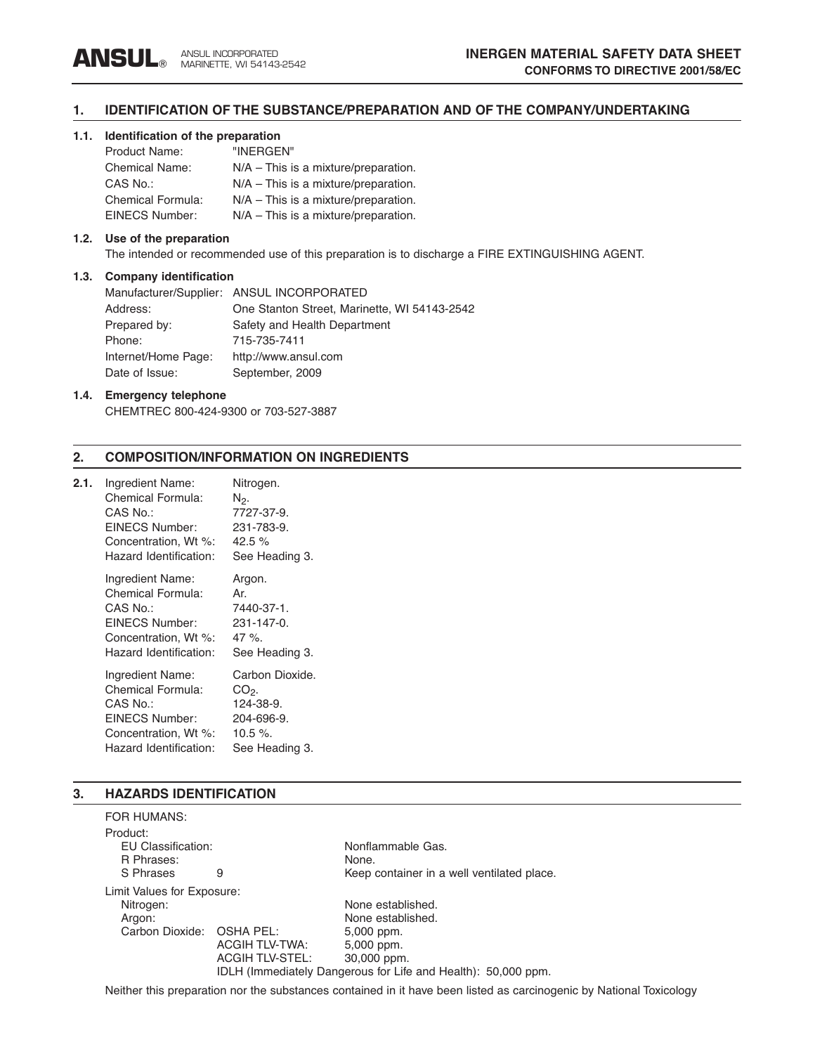## **1. IDENTIFICATION OF THE SUBSTANCE/PREPARATION AND OF THE COMPANY/UNDERTAKING**

## **1.1. Identification of the preparation**

| Product Name:         | "INERGEN"                              |
|-----------------------|----------------------------------------|
| <b>Chemical Name:</b> | $N/A$ – This is a mixture/preparation. |
| CAS No.:              | $N/A$ – This is a mixture/preparation. |
| Chemical Formula:     | N/A - This is a mixture/preparation.   |
| EINECS Number:        | $N/A$ – This is a mixture/preparation. |

#### **1.2. Use of the preparation**

The intended or recommended use of this preparation is to discharge a FIRE EXTINGUISHING AGENT.

#### **1.3. Company identification**

|                     | Manufacturer/Supplier: ANSUL INCORPORATED    |
|---------------------|----------------------------------------------|
| Address:            | One Stanton Street, Marinette, WI 54143-2542 |
| Prepared by:        | Safety and Health Department                 |
| Phone:              | 715-735-7411                                 |
| Internet/Home Page: | http://www.ansul.com                         |
| Date of Issue:      | September, 2009                              |
|                     |                                              |

## **1.4. Emergency telephone**

CHEMTREC 800-424-9300 or 703-527-3887

## **2. COMPOSITION/INFORMATION ON INGREDIENTS**

| 2.1. | Ingredient Name:<br><b>Chemical Formula:</b><br>CAS No.:<br>EINECS Number:<br>Concentration, Wt %:<br>Hazard Identification: | Nitrogen.<br>N2.<br>7727-37-9.<br>231-783-9.<br>42.5 $%$<br>See Heading 3.          |
|------|------------------------------------------------------------------------------------------------------------------------------|-------------------------------------------------------------------------------------|
|      | Ingredient Name:<br><b>Chemical Formula:</b><br>CAS No.:<br>EINECS Number:<br>Concentration, Wt %:<br>Hazard Identification: | Argon.<br>Ar.<br>7440-37-1.<br>231-147-0.<br>47 %.<br>See Heading 3.                |
|      | Ingredient Name:<br>Chemical Formula:<br>CAS No.:<br><b>EINECS Number:</b><br>Concentration, Wt %:<br>Hazard Identification: | Carbon Dioxide.<br>CO2.<br>124-38-9.<br>204-696-9.<br>$10.5 \%$ .<br>See Heading 3. |

## **3. HAZARDS IDENTIFICATION**

| <b>FOR HUMANS:</b>         |                        |                                                               |
|----------------------------|------------------------|---------------------------------------------------------------|
| Product:                   |                        |                                                               |
| EU Classification:         |                        | Nonflammable Gas.                                             |
| R Phrases:                 |                        | None.                                                         |
| S Phrases                  | 9                      | Keep container in a well ventilated place.                    |
| Limit Values for Exposure: |                        |                                                               |
| Nitrogen:                  |                        | None established.                                             |
| Argon:                     |                        | None established.                                             |
| Carbon Dioxide: OSHA PEL:  |                        | 5,000 ppm.                                                    |
|                            | <b>ACGIH TLV-TWA:</b>  | 5,000 ppm.                                                    |
|                            | <b>ACGIH TLV-STEL:</b> | 30,000 ppm.                                                   |
|                            |                        | IDLH (Immediately Dangerous for Life and Health): 50,000 ppm. |

Neither this preparation nor the substances contained in it have been listed as carcinogenic by National Toxicology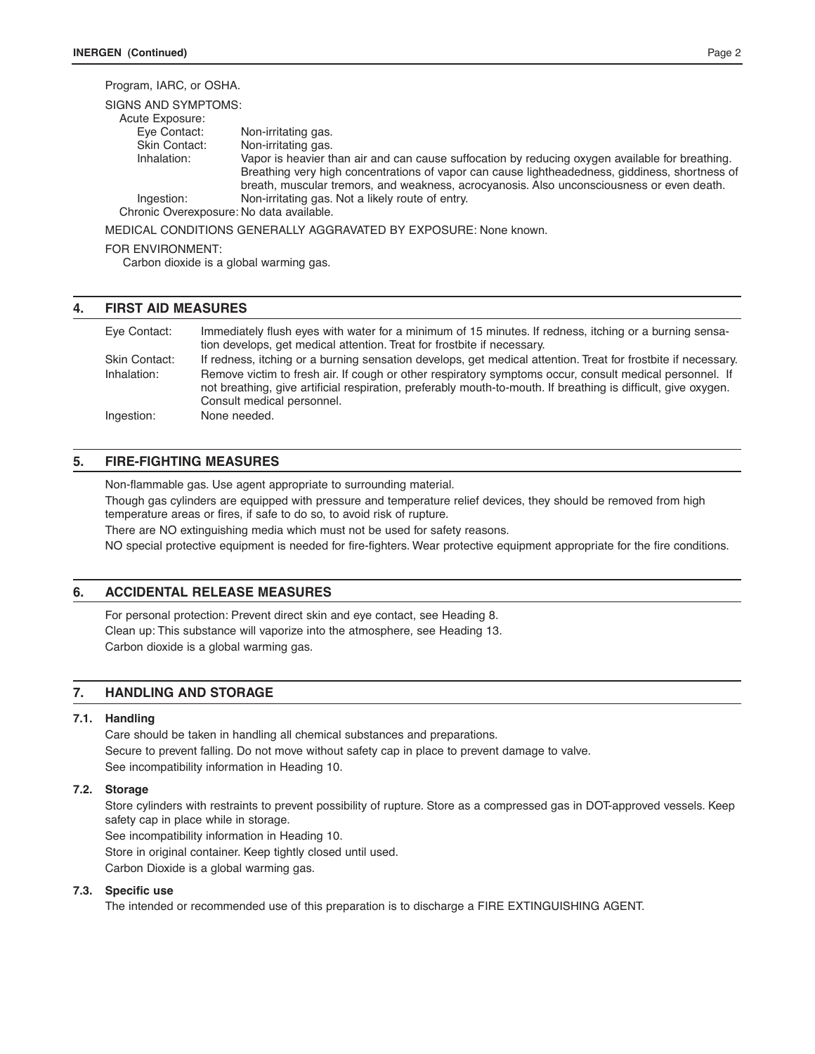# Program, IARC, or OSHA.

| SIGNS AND SYMPTOMS:                      |                                                                                                                                                                                             |
|------------------------------------------|---------------------------------------------------------------------------------------------------------------------------------------------------------------------------------------------|
| Acute Exposure:                          |                                                                                                                                                                                             |
| Eye Contact:                             | Non-irritating gas.                                                                                                                                                                         |
| Skin Contact:                            | Non-irritating gas.                                                                                                                                                                         |
| Inhalation:                              | Vapor is heavier than air and can cause suffocation by reducing oxygen available for breathing.                                                                                             |
|                                          | Breathing very high concentrations of vapor can cause lightheadedness, giddiness, shortness of<br>breath, muscular tremors, and weakness, acrocyanosis. Also unconsciousness or even death. |
| Ingestion:                               | Non-irritating gas. Not a likely route of entry.                                                                                                                                            |
| Chronic Overexposure: No data available. |                                                                                                                                                                                             |

MEDICAL CONDITIONS GENERALLY AGGRAVATED BY EXPOSURE: None known.

#### FOR ENVIRONMENT:

Carbon dioxide is a global warming gas.

## **4. FIRST AID MEASURES**

| Eve Contact:                        | Immediately flush eyes with water for a minimum of 15 minutes. If redness, itching or a burning sensa-<br>tion develops, get medical attention. Treat for frostbite if necessary.                                                                                                                                                                                        |
|-------------------------------------|--------------------------------------------------------------------------------------------------------------------------------------------------------------------------------------------------------------------------------------------------------------------------------------------------------------------------------------------------------------------------|
| <b>Skin Contact:</b><br>Inhalation: | If redness, itching or a burning sensation develops, get medical attention. Treat for frostbite if necessary.<br>Remove victim to fresh air. If cough or other respiratory symptoms occur, consult medical personnel. If<br>not breathing, give artificial respiration, preferably mouth-to-mouth. If breathing is difficult, give oxygen.<br>Consult medical personnel. |
| Ingestion:                          | None needed.                                                                                                                                                                                                                                                                                                                                                             |

# **5. FIRE-FIGHTING MEASURES**

Non-flammable gas. Use agent appropriate to surrounding material.

Though gas cylinders are equipped with pressure and temperature relief devices, they should be removed from high temperature areas or fires, if safe to do so, to avoid risk of rupture.

There are NO extinguishing media which must not be used for safety reasons.

NO special protective equipment is needed for fire-fighters. Wear protective equipment appropriate for the fire conditions.

## **6. ACCIDENTAL RELEASE MEASURES**

For personal protection: Prevent direct skin and eye contact, see Heading 8. Clean up: This substance will vaporize into the atmosphere, see Heading 13. Carbon dioxide is a global warming gas.

## **7. HANDLING AND STORAGE**

## **7.1. Handling**

Care should be taken in handling all chemical substances and preparations. Secure to prevent falling. Do not move without safety cap in place to prevent damage to valve. See incompatibility information in Heading 10.

## **7.2. Storage**

Store cylinders with restraints to prevent possibility of rupture. Store as a compressed gas in DOT-approved vessels. Keep safety cap in place while in storage.

See incompatibility information in Heading 10. Store in original container. Keep tightly closed until used.

Carbon Dioxide is a global warming gas.

#### **7.3. Specific use**

The intended or recommended use of this preparation is to discharge a FIRE EXTINGUISHING AGENT.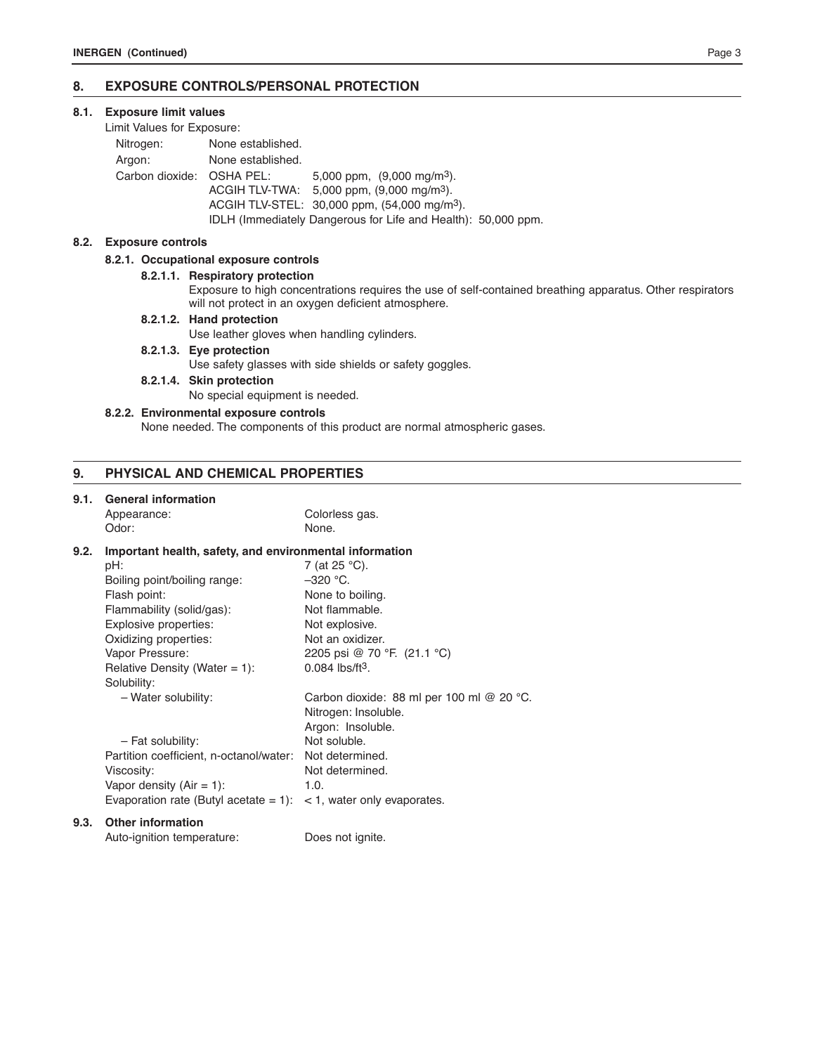# **8. EXPOSURE CONTROLS/PERSONAL PROTECTION**

## **8.1. Exposure limit values**

## Limit Values for Exposure:

| Nitrogen:                 | None established. |                                                               |  |
|---------------------------|-------------------|---------------------------------------------------------------|--|
| Argon:                    | None established. |                                                               |  |
| Carbon dioxide: OSHA PEL: |                   | 5,000 ppm, $(9,000 \text{ mg/m}^3)$ .                         |  |
|                           |                   | ACGIH TLV-TWA: $5,000$ ppm, $(9,000 \text{ mg/m}^3)$ .        |  |
|                           |                   | ACGIH TLV-STEL: 30,000 ppm, (54,000 mg/m <sup>3</sup> ).      |  |
|                           |                   | IDLH (Immediately Dangerous for Life and Health): 50,000 ppm. |  |

## **8.2. Exposure controls**

## **8.2.1. Occupational exposure controls**

#### **8.2.1.1. Respiratory protection**

Exposure to high concentrations requires the use of self-contained breathing apparatus. Other respirators will not protect in an oxygen deficient atmosphere.

## **8.2.1.2. Hand protection**

Use leather gloves when handling cylinders.

- **8.2.1.3. Eye protection** Use safety glasses with side shields or safety goggles.
- **8.2.1.4. Skin protection**

No special equipment is needed.

## **8.2.2. Environmental exposure controls**

None needed. The components of this product are normal atmospheric gases.

## **9. PHYSICAL AND CHEMICAL PROPERTIES**

# **9.1. General information**

| J. I. | <b>UCIICIAI IIIIUI IIIAUUII</b><br>Appearance:          | Colorless gas.                                      |  |
|-------|---------------------------------------------------------|-----------------------------------------------------|--|
|       | Odor:                                                   | None.                                               |  |
| 9.2.  | Important health, safety, and environmental information |                                                     |  |
|       | pH:                                                     | 7 (at 25 °C).                                       |  |
|       | Boiling point/boiling range:                            | $-320$ °C.                                          |  |
|       | Flash point:                                            | None to boiling.                                    |  |
|       | Flammability (solid/gas):                               | Not flammable.                                      |  |
|       | Explosive properties:                                   | Not explosive.                                      |  |
|       | Oxidizing properties:                                   | Not an oxidizer.                                    |  |
|       | Vapor Pressure:                                         | 2205 psi @ 70 °F. (21.1 °C)                         |  |
|       | Relative Density (Water = $1$ ):                        | $0.084$ lbs/ft <sup>3</sup> .                       |  |
|       | Solubility:                                             |                                                     |  |
|       | - Water solubility:                                     | Carbon dioxide: 88 ml per 100 ml @ 20 $^{\circ}$ C. |  |
|       |                                                         | Nitrogen: Insoluble.                                |  |
|       |                                                         | Argon: Insoluble.                                   |  |
|       | - Fat solubility:                                       | Not soluble.                                        |  |
|       | Partition coefficient, n-octanol/water:                 | Not determined.                                     |  |
|       | Viscosity:                                              | Not determined.                                     |  |
|       | Vapor density $(Air = 1)$ :                             | 1.0.                                                |  |
|       | Evaporation rate (Butyl acetate $= 1$ ):                | $<$ 1, water only evaporates.                       |  |
| 9.3.  | <b>Other information</b>                                |                                                     |  |
|       |                                                         |                                                     |  |

Auto-ignition temperature: Does not ignite.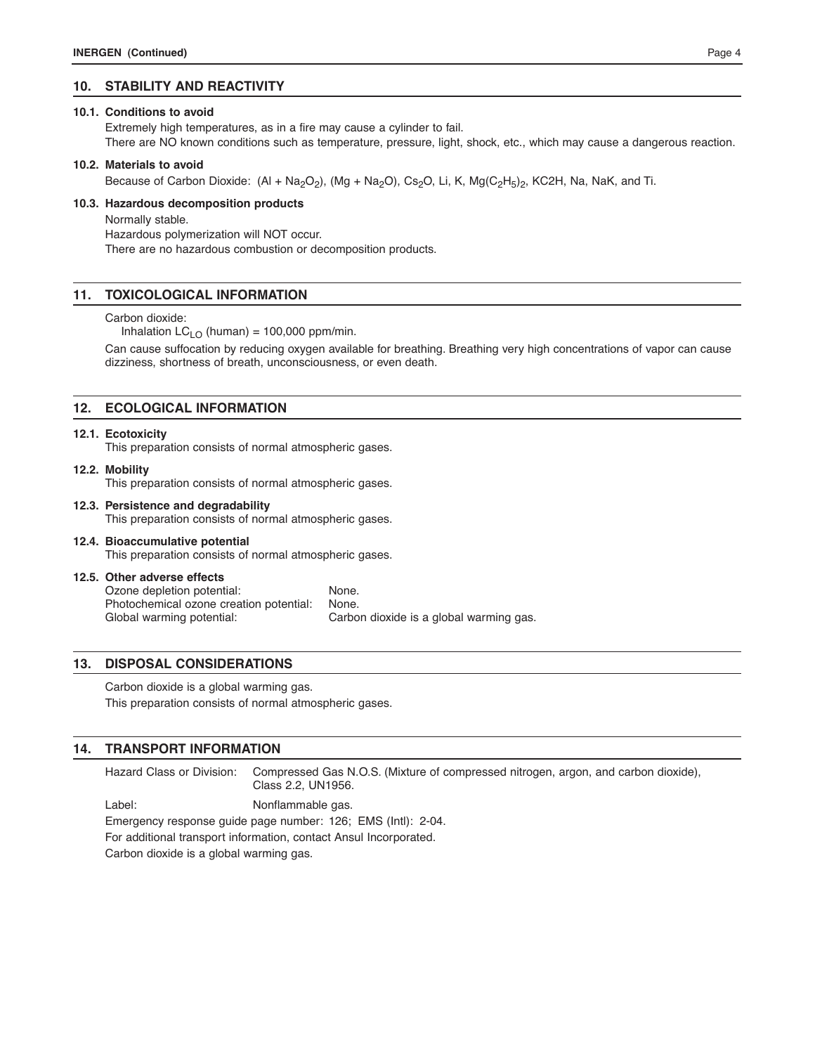## **10. STABILITY AND REACTIVITY**

#### **10.1. Conditions to avoid**

Extremely high temperatures, as in a fire may cause a cylinder to fail.

There are NO known conditions such as temperature, pressure, light, shock, etc., which may cause a dangerous reaction.

#### **10.2. Materials to avoid**

Because of Carbon Dioxide:  $(AI + Na<sub>2</sub>O<sub>2</sub>)$ ,  $(Mg + Na<sub>2</sub>O)$ , Cs<sub>2</sub>O, Li, K, Mg(C<sub>2</sub>H<sub>5</sub>)<sub>2</sub>, KC2H, Na, NaK, and Ti.

#### **10.3. Hazardous decomposition products**

Normally stable.

Hazardous polymerization will NOT occur. There are no hazardous combustion or decomposition products.

## **11. TOXICOLOGICAL INFORMATION**

#### Carbon dioxide:

Inhalation  $LC_{LO}$  (human) = 100,000 ppm/min.

Can cause suffocation by reducing oxygen available for breathing. Breathing very high concentrations of vapor can cause dizziness, shortness of breath, unconsciousness, or even death.

## **12. ECOLOGICAL INFORMATION**

#### **12.1. Ecotoxicity**

This preparation consists of normal atmospheric gases.

#### **12.2. Mobility**

This preparation consists of normal atmospheric gases.

# **12.3. Persistence and degradability**

This preparation consists of normal atmospheric gases.

# **12.4. Bioaccumulative potential** This preparation consists of normal atmospheric gases.

#### **12.5. Other adverse effects**

Ozone depletion potential: None. Photochemical ozone creation potential: None. Global warming potential: Carbon dioxide is a global warming gas.

## **13. DISPOSAL CONSIDERATIONS**

Carbon dioxide is a global warming gas. This preparation consists of normal atmospheric gases.

## **14. TRANSPORT INFORMATION**

Hazard Class or Division: Compressed Gas N.O.S. (Mixture of compressed nitrogen, argon, and carbon dioxide), Class 2.2, UN1956.

Label: Nonflammable gas. Emergency response guide page number: 126; EMS (Intl): 2-04. For additional transport information, contact Ansul Incorporated. Carbon dioxide is a global warming gas.